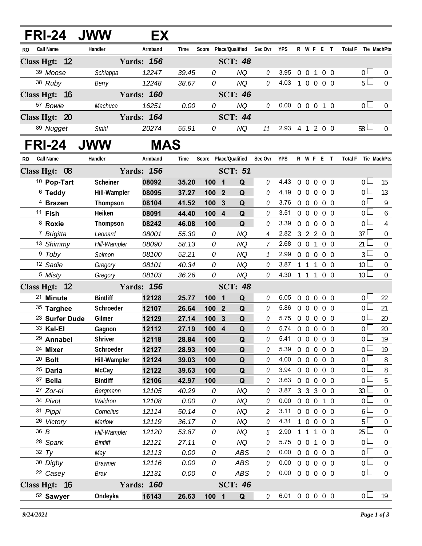| <b>FRI-24</b>             | <b>JWW</b>          | EХ                |                |        |                              |                |                            |                |                                  |                             |                |                                     |                  |
|---------------------------|---------------------|-------------------|----------------|--------|------------------------------|----------------|----------------------------|----------------|----------------------------------|-----------------------------|----------------|-------------------------------------|------------------|
| Call Name<br>RO.          | Handler             | Armband           | Time           |        | Score Place/Qualified        | Sec Ovr        | <b>YPS</b>                 |                |                                  | R W F E T                   |                | Total F Tie MachPts                 |                  |
| Class Hgt: 12             |                     | <b>Yards: 156</b> |                |        | <b>SCT: 48</b>               |                |                            |                |                                  |                             |                |                                     |                  |
| 39 Moose                  | Schiappa            | 12247             | 39.45          | 0      | <b>NQ</b>                    | 0              | 3.95                       |                | 0 0 1                            |                             | $0\quad 0$     | 0 <sub>1</sub>                      | $\overline{0}$   |
| 38 Ruby                   | Berry               | 12248             | 38.67          | 0      | <b>NQ</b>                    | 0              | 4.03                       | $\overline{1}$ |                                  | 0 0 0 0                     |                | $5\Box$                             | $\overline{0}$   |
| Class Hgt: 16             |                     | <b>Yards: 160</b> |                |        | <b>SCT: 46</b>               |                |                            |                |                                  |                             |                |                                     |                  |
| 57 Bowie                  | Machuca             | 16251             | 0.00           | 0      | <b>NQ</b>                    | 0              | $0.00 \t0 \t0 \t0 \t1 \t0$ |                |                                  |                             |                | 0 <sub>l</sub>                      | $\mathbf{0}$     |
| Class Hgt: 20             |                     | <b>Yards: 164</b> |                |        | <b>SCT: 44</b>               |                |                            |                |                                  |                             |                |                                     |                  |
| 89 Nugget                 | <b>Stahl</b>        | 20274             | 55.91          | 0      | NQ                           | 11             | 2.93 4 1 2 0 0             |                |                                  |                             |                | $58\Box$                            | $\mathbf{0}$     |
| <b>FRI-24</b>             | <b>JWW</b>          | MAS               |                |        |                              |                |                            |                |                                  |                             |                |                                     |                  |
| Call Name<br>RO.          | Handler<br>Armband  |                   | Time           |        | Score Place/Qualified        | Sec Ovr        | <b>YPS</b>                 |                |                                  | R W F E T                   |                | <b>Total F</b>                      | Tie MachPts      |
| Class Hgt: 08             |                     | <b>Yards: 156</b> |                |        | <b>SCT: 51</b>               |                |                            |                |                                  |                             |                |                                     |                  |
| <sup>10</sup> Pop-Tart    | Scheiner            | 08092             | 35.20          | 1001   | Q                            | 0              | 4.43                       | $\overline{0}$ | $\mathbf 0$                      | $\overline{0}$              | $0\quad 0$     | 0 <sub>0</sub>                      | 15               |
| $6$ Teddy                 | Hill-Wampler        | 08095             | 37.27          | 100 2  | Q                            | 0              | 4.19                       | $\overline{0}$ | $\overline{0}$                   | $\mathbf 0$                 | $0\quad 0$     | 0 <sub>0</sub>                      | 13               |
| <sup>4</sup> Brazen       | Thompson            | 08104             | 41.52          | 100 3  | Q                            | 0              | 3.76                       | $\overline{0}$ | $\overline{0}$<br>$\overline{0}$ |                             | $0\quad 0$     | $0\Box$                             | 9                |
| <sup>11</sup> Fish        | Heiken              | 08091             | 44.40          | 100 4  | Q                            | 0              | 3.51                       | $\overline{0}$ | $\overline{0}$                   | $\overline{0}$              | $0\quad 0$     | 0 <sub>0</sub>                      | 6                |
| 8 Roxie                   | Thompson            | 08242             | 46.08          | 100    | Q                            | 0              | 3.39                       | $\overline{0}$ | $\overline{0}$                   | $\overline{0}$              | $0\quad 0$     | $\overline{0}$ $\overline{\square}$ | $\overline{4}$   |
| <sup>7</sup> Brigitta     | Leonard             | 08001             | 55.30          | 0      | <b>NQ</b>                    | $\overline{4}$ | 2.82                       |                |                                  | 3 2 2 0 0                   |                | $37 \perp$                          | $\boldsymbol{0}$ |
| 13 Shimmy                 | Hill-Wampler        | 08090             | 58.13          | 0      | <b>NQ</b>                    | 7              | 2.68                       | $\overline{0}$ | $\overline{0}$                   | $\overline{1}$              | 0 <sub>0</sub> | 21                                  | $\mathbf 0$      |
| <sup>9</sup> Toby         | Salmon              | 08100             | 52.21          | 0      | <b>NQ</b>                    |                | 2.99                       | $\mathbf{0}$   | $\Omega$                         | $\overline{0}$              | $0\quad 0$     | 3 <sup>1</sup>                      | $\boldsymbol{0}$ |
| 12 Sadie                  | Gregory             | 08101             | 40.34          | 0      | NQ                           | 0              | 3.87                       |                | 1 1 1                            |                             | 0 <sub>0</sub> | 10 <sup>L</sup>                     | $\mathbf 0$      |
| <sup>5</sup> Misty        | Gregory             | 08103             | 36.26          | 0      | <b>NQ</b>                    | 0              | 4.30                       | $\mathbf{1}$   | 1 1                              |                             | $0\quad 0$     | 10 <sup>1</sup>                     | $\overline{0}$   |
| Class Hgt: 12             |                     | <b>Yards: 156</b> |                |        | <b>SCT: 48</b>               |                |                            |                |                                  |                             |                |                                     |                  |
| 21 Minute                 | <b>Bintliff</b>     | 12128             | 25.77          | 100    | Q<br>$\overline{\mathbf{1}}$ | 0              | 6.05                       | $\overline{0}$ | $\overline{0}$                   | $\overline{0}$              | 0 <sub>0</sub> | $\overline{0}$                      | 22               |
| 35 Targhee                | Schroeder           | 12107             | 26.64          | 100    | $\overline{2}$<br>Q          | 0              | 5.86                       | $\Omega$       | $\overline{0}$                   | $\overline{0}$              | $0\quad 0$     | 0 <sub>1</sub>                      | 21               |
| <sup>23</sup> Surfer Dude | Gilmer              | 12129             | 27.14          | 100    | $\mathbf{3}$<br>Q            | 0              | 5.75                       | $\mathbf{0}$   | $\overline{0}$<br>$\overline{0}$ |                             | 0 <sub>0</sub> | 0 <sub>0</sub>                      | 20               |
| 33 Kal-El                 | Gagnon              | 12112             | 27.19          | 100 4  | $\mathbf Q$                  | 0              | 5.74                       | $\overline{0}$ | $0\quad 0$                       |                             | $0\quad 0$     | $\overline{0}$                      | 20               |
| <sup>29</sup> Annabel     | <b>Shriver</b>      | 12118             | 28.84          | 100    | Q                            | 0              | 5.41                       | $\overline{0}$ | $\overline{0}$                   | $0\quad 0\quad 0$           |                | 0 l                                 | 19               |
| 24 Mixer                  | Schroeder           | 12127             | 28.93          | 100    | Q                            | O              | 5.39                       | $\Omega$       | $\overline{0}$                   | $\overline{0}$              | $0\quad 0$     | 0 <sub>0</sub>                      | 19               |
| $20$ Bolt                 | Hill-Wampler        | 12124             | 39.03          | 100    | Q                            | 0              | 4.00 0 0 0 0 0             |                |                                  |                             |                | 0 <sub>0</sub>                      | 8                |
| <sup>25</sup> Darla       | McCay               | 12122             | 39.63          | 100    | Q                            | O              | 3.94                       | $0\quad 0$     |                                  | $\overline{0}$              | $0\quad 0$     | 0 <sub>0</sub>                      | 8                |
| 37 Bella                  | <b>Bintliff</b>     | 12106             | 42.97          | 100    | Q                            | 0              | $3.63 \quad 0 \quad 0$     |                |                                  | $\overline{0}$              | $0\quad 0$     | 0 <sub>0</sub>                      | 5                |
| 27 Zor-el                 | Bergmann            | 12105             | 40.29          | 0      | ΝQ                           | 0              | 3.87<br>0.00               |                |                                  | 3 3 3 0 0                   |                | 30 <sup>2</sup>                     | 0                |
| 34 Pivot                  | Waldron             | 12108             | 0.00           | 0      | NQ                           | 0              | 3.11                       |                |                                  | 0 0 0 1 0                   |                | $\overline{0}$                      | 0                |
| 31 Pippi<br>26 Victory    | Cornelius<br>Marlow | 12114<br>12119    | 50.14<br>36.17 | 0<br>0 | ΝQ<br>NQ                     | 2<br>0         | 4.31                       | $\overline{1}$ | $\overline{0}$                   | 0 0 0 0 0<br>$\overline{0}$ | $0\quad 0$     | 6 <sup>1</sup><br>5                 | 0<br>0           |
| 36 B                      | Hill-Wampler        | 12120             | 53.87          | 0      | NQ                           | 5              | 2.90                       | $\mathbf{1}$   |                                  | 1 1 0 0                     |                | 25                                  | 0                |
| 28 Spark                  | <b>Bintliff</b>     | 12121             | 27.11          | 0      | NQ                           | 0              | $5.75 \t0 \t0$             |                |                                  | $\overline{1}$              | $0\quad 0$     | $\overline{0}$                      | $\boldsymbol{0}$ |
| 32 $Ty$                   | May                 | 12113             | 0.00           | 0      | ABS                          | 0              | 0.00                       |                |                                  | 0 0 0 0 0                   |                | 0 <sub>1</sub>                      | 0                |
| 30 Digby                  | <b>Brawner</b>      | 12116             | 0.00           | 0      | ABS                          | 0              | $0.00 \t0 \t0 \t0 \t0 \t0$ |                |                                  |                             |                | 0 <sub>0</sub>                      | $\boldsymbol{0}$ |
| <sup>22</sup> Casey       | Brav                | 12131             | 0.00           | 0      | ABS                          | 0              | $0.00 \t0 \t0 \t0 \t0 \t0$ |                |                                  |                             |                | $\overline{0}$                      | 0                |
| Class Hgt: 16             |                     | <b>Yards: 160</b> |                |        | <b>SCT: 46</b>               |                |                            |                |                                  |                             |                |                                     |                  |
| 52 Sawyer                 | Ondeyka             | 16143             | 26.63          | 100 1  | Q                            | 0              | 6.01 0 0 0 0 0             |                |                                  |                             |                | 0 <sub>0</sub>                      | 19               |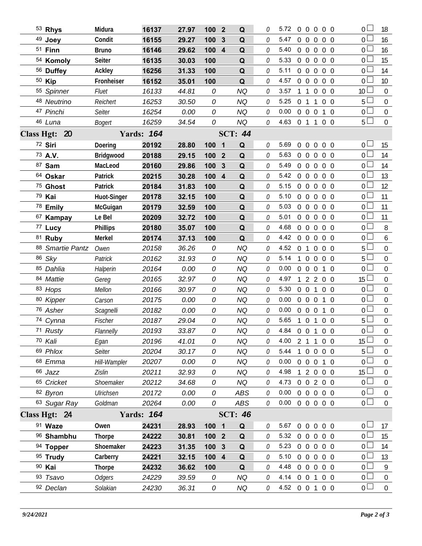|                         | 53 Rhys            | Midura        | 16137             | 27.97 | 100 2            |                | Q              | 0 | 5.72                       | $\mathbf 0$      | $\Omega$          | $\Omega$       | 0 <sub>0</sub> | $\overline{0}$  | 18               |
|-------------------------|--------------------|---------------|-------------------|-------|------------------|----------------|----------------|---|----------------------------|------------------|-------------------|----------------|----------------|-----------------|------------------|
|                         | <sup>49</sup> Joey | Condit        | 16155             | 29.27 | 100              | 3              | Q              | O | 5.47                       | $\overline{0}$   | $\overline{0}$    | $\overline{0}$ | $0\quad 0$     | 0 <sup>1</sup>  | 16               |
|                         | $51$ Finn          | <b>Bruno</b>  | 16146             | 29.62 | 100              | $\overline{4}$ | Q              | 0 | 5.40                       |                  | $0\quad 0$        | $\overline{0}$ | $0\quad 0$     | $\overline{0}$  | 16               |
|                         | 54 Komoly          | <b>Seiter</b> | 16135             | 30.03 | 100              |                | Q              | 0 | 5.33                       |                  | $0\quad 0$        | $\overline{0}$ | $0\quad 0$     | 0 <sup>1</sup>  | 15               |
|                         | 56 Duffey          | Ackley        | 16256             | 31.33 | 100              |                | Q              | 0 | 5.11                       |                  | $0\quad 0$        | $\overline{0}$ | $0\quad 0$     | 0 <sup>1</sup>  | 14               |
|                         | 50 Kip             | Fronheiser    | 16152             | 35.01 | 100              |                | Q              | 0 | 4.57                       | $\overline{0}$   | $\mathbf 0$       | $\overline{0}$ | $0\quad 0$     | 0 <sup>1</sup>  | 10               |
|                         | 55 Spinner         | Fluet         | 16133             | 44.81 | 0                |                | <b>NQ</b>      | 0 | 3.57                       |                  | $1\quad1$         | $\overline{0}$ | $0\quad 0$     | 10 <sup>°</sup> | $\overline{0}$   |
|                         | 48 Neutrino        | Reichert      | 16253             | 30.50 | 0                |                | <b>NQ</b>      | 0 | 5.25                       | $\overline{0}$   | $\overline{1}$    | $\mathbf{1}$   | $0\quad 0$     | 5               | $\mathbf 0$      |
|                         | 47 Pinchi          | Seiter        | 16254             | 0.00  | 0                |                | <b>NQ</b>      | 0 | 0.00                       |                  | $0\quad 0$        | $\overline{0}$ | $1\quad$ 0     | 0 <sup>1</sup>  | $\mathbf 0$      |
|                         | 46 Luna            | <b>Bogert</b> | 16259             | 34.54 | 0                |                | <b>NQ</b>      | 0 | $4.63 \quad 0 \quad 1$     |                  |                   | $\mathbf{1}$   | $0\quad 0$     | 5 <sup>1</sup>  | $\mathbf 0$      |
| 20<br><b>Class Hgt:</b> |                    |               | <b>Yards: 164</b> |       |                  |                | <b>SCT: 44</b> |   |                            |                  |                   |                |                |                 |                  |
|                         | 72 Siri            | Doering       | 20192             | 28.80 | 100              | $\blacksquare$ | Q              | 0 | 5.69                       | $\overline{0}$   | $0\quad 0$        |                | $0\quad 0$     | $\overline{0}$  | 15               |
|                         | 73 A.V.            | Bridgwood     | 20188             | 29.15 | 100 2            |                | Q              | 0 | 5.63                       | $\overline{0}$   | $\overline{0}$    | $\overline{0}$ | $0\quad 0$     | 0 l             | 14               |
|                         | 87 Sam             | MacLeod       | 20160             | 29.86 | 100              | 3              | Q              | 0 | 5.49                       | $\overline{0}$   | $\overline{0}$    | $\overline{0}$ | $0\quad 0$     | $\overline{0}$  | 14               |
|                         | 64 Oskar           | Patrick       | 20215             | 30.28 | 100 4            |                | Q              | 0 | 5.42                       | $\mathbf 0$      | $\overline{0}$    | $\overline{0}$ | $0\quad 0$     | 0 L             | 13               |
|                         | 75 Ghost           | Patrick       | 20184             | 31.83 | 100              |                | Q              | 0 | 5.15                       | $\overline{0}$   | $\overline{0}$    | $\Omega$       | $0\quad 0$     | $\overline{0}$  | 12               |
|                         | 79 Kai             | Huot-Singer   | 20178             | 32.15 | 100              |                | Q              | 0 | 5.10                       | $\boldsymbol{0}$ | $\overline{0}$    | $\overline{0}$ | $0\quad 0$     | 0 <sub>0</sub>  | 11               |
|                         | 78 Emily           | McGuigan      | 20179             | 32.59 | 100              |                | Q              | 0 | 5.03                       |                  | $0\quad 0$        | $\overline{0}$ | $0\quad 0$     | $\mathbf 0$     | 11               |
|                         | 67 Kampay          | Le Bel        | 20209             | 32.72 | 100              |                | Q              | 0 | 5.01                       |                  | $0\quad 0$        | $\overline{0}$ | $0\quad 0$     | 0 <sub>0</sub>  | 11               |
|                         | 77 Lucy            | Phillips      | 20180             | 35.07 | 100              |                | Q              | 0 | 4.68                       | $\overline{0}$   | $\overline{0}$    | $\overline{0}$ | $0\quad 0$     | 0 <sub>l</sub>  | 8                |
|                         | 81 Ruby            | Merkel        | 20174             | 37.13 | 100              |                | Q              | 0 | 4.42                       | $\overline{0}$   | $\overline{0}$    | $\overline{0}$ | $0\quad 0$     | 0 <sub>0</sub>  | $6\phantom{a}$   |
|                         | 88 Smartie Pantz   | Owen          | 20158             | 36.26 | 0                |                | <b>NQ</b>      | 0 | 4.52 $0$ 1                 |                  |                   | $\overline{0}$ | $0\quad 0$     | 5               | $\mathbf 0$      |
|                         | 86 Sky             | Patrick       | 20162             | 31.93 | 0                |                | <b>NQ</b>      | 0 | 5.14                       | $\overline{1}$   | $\overline{0}$    | $\overline{0}$ | $0\quad 0$     | 5 <sub>1</sub>  | $\mathbf 0$      |
|                         | 85 Dahlia          | Halperin      | 20164             | 0.00  | 0                |                | <b>NQ</b>      | 0 | 0.00                       | $\overline{0}$   | $\overline{0}$    | $\overline{0}$ | $1\quad0$      | 0 <sub>0</sub>  | $\mathbf 0$      |
|                         | 84 Mattie          | Gereg         | 20165             | 32.97 | 0                |                | <b>NQ</b>      | 0 | 4.97                       | 1                | 2 <sub>2</sub>    |                | $0\quad 0$     | $15 \perp$      | $\mathbf 0$      |
|                         | 83 Hops            | Mellon        | 20166             | 30.97 | 0                |                | <b>NQ</b>      | 0 | 5.30                       |                  | $0\quad 0$        | $\mathbf{1}$   | $0\quad 0$     | 0 <sub>0</sub>  | $\mathbf 0$      |
|                         | 80 Kipper          | Carson        | 20175             | 0.00  | 0                |                | <b>NQ</b>      | 0 | 0.00                       | $\overline{0}$   | $\overline{0}$    | $\overline{0}$ | $1\quad$ 0     | $0-$            | $\mathbf 0$      |
|                         | 76 Asher           | Scagnelli     | 20182             | 0.00  | 0                |                | <b>NQ</b>      | 0 | 0.00                       |                  | $0\quad 0\quad 0$ |                | $1\quad0$      | 0 <sup>1</sup>  | $\mathbf 0$      |
|                         | 74 Cynna           | Fischer       | 20187             | 29.04 | 0                |                | <b>NQ</b>      | 0 | 5.65                       | $\overline{1}$   | $\overline{0}$    | $\mathbf{1}$   | $0\quad 0$     | 5               | $\mathbf 0$      |
|                         | 71 Rusty           | Flannelly     | 20193             | 33.87 | 0                |                | NQ             | 0 | 4.84 0 0 1 0 0             |                  |                   |                |                | $\mathbf 0$     | $\mathbf 0$      |
|                         | 70 Kali            | Egan          | 20196             | 41.01 | 0                |                | NQ             | 0 | 4.00 2 1 1 0 0             |                  |                   |                |                | 15 <sup>1</sup> | $\mathbf 0$      |
|                         | 69 Phlox           | Seiter        | 20204             | 30.17 | 0                |                | <b>NQ</b>      | 0 | 5.44                       |                  | 1 0 0 0 0         |                |                | 5               | $\overline{0}$   |
|                         | 68 Emma            | Hill-Wampler  | 20207             | 0.00  | 0                |                | <b>NQ</b>      | 0 | $0.00 \t0 \t0 \t0 \t1 \t0$ |                  |                   |                |                | 0 <sub>0</sub>  | $\mathbf 0$      |
|                         | 66 Jazz            | Zislin        | 20211             | 32.93 | 0                |                | <b>NQ</b>      | 0 | 4.98                       |                  | 1 2 0 0 0         |                |                | 15 <sup>1</sup> | $\overline{0}$   |
|                         | 65 Cricket         | Shoemaker     | 20212             | 34.68 | 0                |                | NQ             | 0 | 4.73 0 0 2 0 0             |                  |                   |                |                | 0 <sub>0</sub>  | $\boldsymbol{0}$ |
|                         | 82 Byron           | Ulrichsen     | 20172             | 0.00  | 0                |                | ABS            | 0 | $0.00 \t0 \t0 \t0 \t0 \t0$ |                  |                   |                |                | 0 <sub>0</sub>  | $\boldsymbol{0}$ |
|                         | 63 Sugar Ray       | Goldman       | 20264             | 0.00  | 0                |                | ABS            | 0 | $0.00 \t0 \t0 \t0 \t0 \t0$ |                  |                   |                |                | 0 <sub>0</sub>  | $\overline{0}$   |
|                         | Class Hgt: 24      |               | <b>Yards: 164</b> |       |                  |                | <b>SCT: 46</b> |   |                            |                  |                   |                |                |                 |                  |
|                         | 91 Waze            | Owen          | 24231             | 28.93 | 100 1            |                | Q              | 0 | 5.67 0 0 0 0 0             |                  |                   |                |                | $0-$            | 17               |
|                         | 96 Shambhu         | <b>Thorpe</b> | 24222             | 30.81 | 100 <sub>2</sub> |                | Q              | 0 | 5.32 0 0 0 0 0             |                  |                   |                |                | 0 <sub>0</sub>  | 15               |
|                         | 94 Topper          | Shoemaker     | 24223             | 31.35 | 100 <sub>3</sub> |                | Q              | 0 | 5.23 0 0 0 0 0             |                  |                   |                |                | 0 <sub>1</sub>  | 14               |
|                         | 95 Trudy           | Carberry      | 24221             | 32.15 | 100 4            |                | Q              | 0 | 5.10 0 0 0 0 0             |                  |                   |                |                | $0-$            | 13               |
|                         | 90 Kai             | <b>Thorpe</b> | 24232             | 36.62 | 100              |                | Q              | 0 | 4.48 0 0 0 0 0             |                  |                   |                |                | $0-$            | 9                |
|                         | 93 Tsavo           | <b>Odgers</b> | 24229             | 39.59 | 0                |                | <b>NQ</b>      | 0 | 4.14 0 0 1 0 0             |                  |                   |                |                | 0 <sub>0</sub>  | $\overline{0}$   |
|                         | 92 Declan          | Solakian      | 24230             | 36.31 | 0                |                | NQ             | 0 | 4.52 0 0 1 0 0             |                  |                   |                |                | 0 <sub>0</sub>  | $\overline{0}$   |